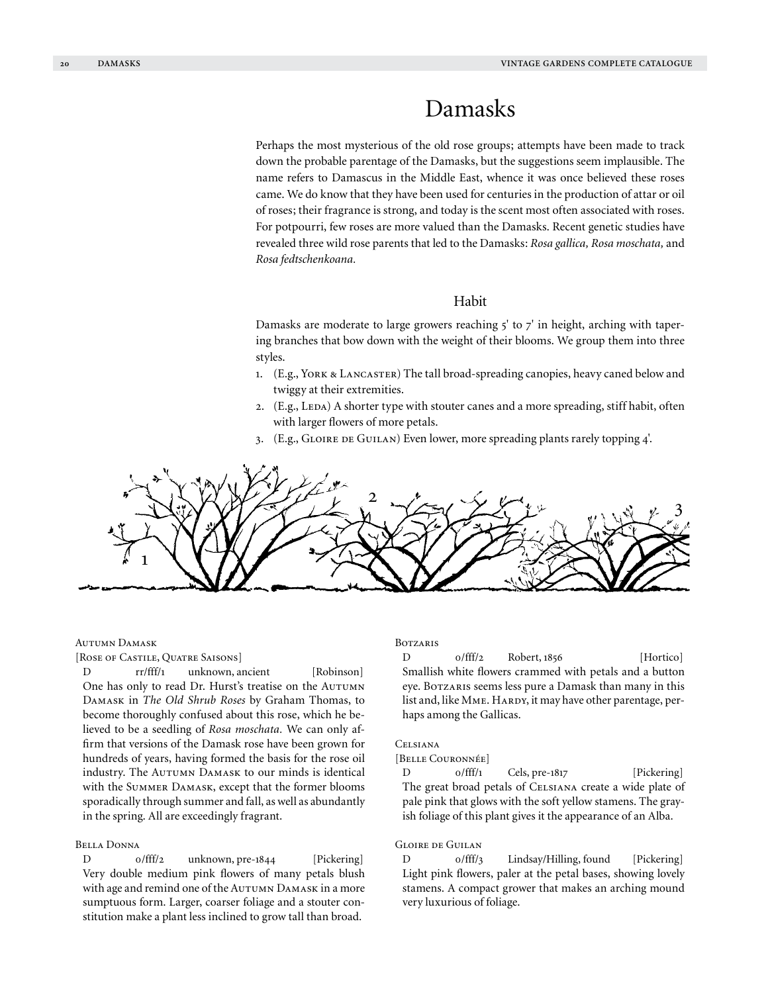# Damasks

Perhaps the most mysterious of the old rose groups; attempts have been made to track down the probable parentage of the Damasks, but the suggestions seem implausible. The name refers to Damascus in the Middle East, whence it was once believed these roses came. We do know that they have been used for centuries in the production of attar or oil of roses; their fragrance is strong, and today is the scent most often associated with roses. For potpourri, few roses are more valued than the Damasks. Recent genetic studies have revealed three wild rose parents that led to the Damasks: *Rosa gallica, Rosa moschata,* and *Rosa fedtschenkoana.*

# Habit

Damasks are moderate to large growers reaching  $5'$  to  $7'$  in height, arching with tapering branches that bow down with the weight of their blooms. We group them into three styles.

- 1. (E.g., York & Lancaster) The tall broad-spreading canopies, heavy caned below and twiggy at their extremities.
- 2. (E.g., LEDA) A shorter type with stouter canes and a more spreading, stiff habit, often with larger flowers of more petals.
- 3. (E.g., GLOIRE DE GUILAN) Even lower, more spreading plants rarely topping 4'.

$$
\frac{1}{\sqrt{2}}\frac{1}{\sqrt{2}}\frac{1}{\sqrt{2}}\frac{1}{\sqrt{2}}\frac{1}{\sqrt{2}}\frac{1}{\sqrt{2}}\frac{1}{\sqrt{2}}\frac{1}{\sqrt{2}}\frac{1}{\sqrt{2}}\frac{1}{\sqrt{2}}\frac{1}{\sqrt{2}}\frac{1}{\sqrt{2}}\frac{1}{\sqrt{2}}\frac{1}{\sqrt{2}}\frac{1}{\sqrt{2}}\frac{1}{\sqrt{2}}\frac{1}{\sqrt{2}}\frac{1}{\sqrt{2}}\frac{1}{\sqrt{2}}\frac{1}{\sqrt{2}}\frac{1}{\sqrt{2}}\frac{1}{\sqrt{2}}\frac{1}{\sqrt{2}}\frac{1}{\sqrt{2}}\frac{1}{\sqrt{2}}\frac{1}{\sqrt{2}}\frac{1}{\sqrt{2}}\frac{1}{\sqrt{2}}\frac{1}{\sqrt{2}}\frac{1}{\sqrt{2}}\frac{1}{\sqrt{2}}\frac{1}{\sqrt{2}}\frac{1}{\sqrt{2}}\frac{1}{\sqrt{2}}\frac{1}{\sqrt{2}}\frac{1}{\sqrt{2}}\frac{1}{\sqrt{2}}\frac{1}{\sqrt{2}}\frac{1}{\sqrt{2}}\frac{1}{\sqrt{2}}\frac{1}{\sqrt{2}}\frac{1}{\sqrt{2}}\frac{1}{\sqrt{2}}\frac{1}{\sqrt{2}}\frac{1}{\sqrt{2}}\frac{1}{\sqrt{2}}\frac{1}{\sqrt{2}}\frac{1}{\sqrt{2}}\frac{1}{\sqrt{2}}\frac{1}{\sqrt{2}}\frac{1}{\sqrt{2}}\frac{1}{\sqrt{2}}\frac{1}{\sqrt{2}}\frac{1}{\sqrt{2}}\frac{1}{\sqrt{2}}\frac{1}{\sqrt{2}}\frac{1}{\sqrt{2}}\frac{1}{\sqrt{2}}\frac{1}{\sqrt{2}}\frac{1}{\sqrt{2}}\frac{1}{\sqrt{2}}\frac{1}{\sqrt{2}}\frac{1}{\sqrt{2}}\frac{1}{\sqrt{2}}\frac{1}{\sqrt{2}}\frac{1}{\sqrt{2}}\frac{1}{\sqrt{2}}\frac{1}{\sqrt{2}}\frac{1}{\sqrt{2}}\frac{1}{\sqrt{2}}\frac{1}{\sqrt{2}}\frac{1}{\sqrt{2}}\frac{1}{\sqrt{2}}\frac{1}{\sqrt{2}}\frac{1}{\sqrt{2}}\frac{1}{\sqrt{2}}
$$

## Autumn Damask

[ROSE OF CASTILE, QUATRE SAISONS]

D rr/fff/1 unknown, ancient [Robinson] One has only to read Dr. Hurst's treatise on the Autumn Damask in *The Old Shrub Roses* by Graham Thomas, to become thoroughly confused about this rose, which he believed to be a seedling of *Rosa moschata.* We can only affirm that versions of the Damask rose have been grown for hundreds of years, having formed the basis for the rose oil industry. The AUTUMN DAMASK to our minds is identical with the Summer Damask, except that the former blooms sporadically through summer and fall, as well as abundantly in the spring. All are exceedingly fragrant.

## Bella Donna

D 0/fff/2 unknown, pre-1844 [Pickering] Very double medium pink flowers of many petals blush with age and remind one of the AUTUMN DAMASK in a more sumptuous form. Larger, coarser foliage and a stouter constitution make a plant less inclined to grow tall than broad.

#### **BOTZARIS**

D 0/fff/2 Robert, 1856 [Hortico] Smallish white flowers crammed with petals and a button eye. BOTZARIS seems less pure a Damask than many in this list and, like MME. HARDY, it may have other parentage, perhaps among the Gallicas.

# Celsiana

[Belle Couronnée]

D 0/fff/1 Cels, pre-1817 [Pickering] The great broad petals of Celsiana create a wide plate of pale pink that glows with the soft yellow stamens. The grayish foliage of this plant gives it the appearance of an Alba.

#### Gloire de Guilan

D 0/fff/3 Lindsay/Hilling, found [Pickering] Light pink flowers, paler at the petal bases, showing lovely stamens. A compact grower that makes an arching mound very luxurious of foliage.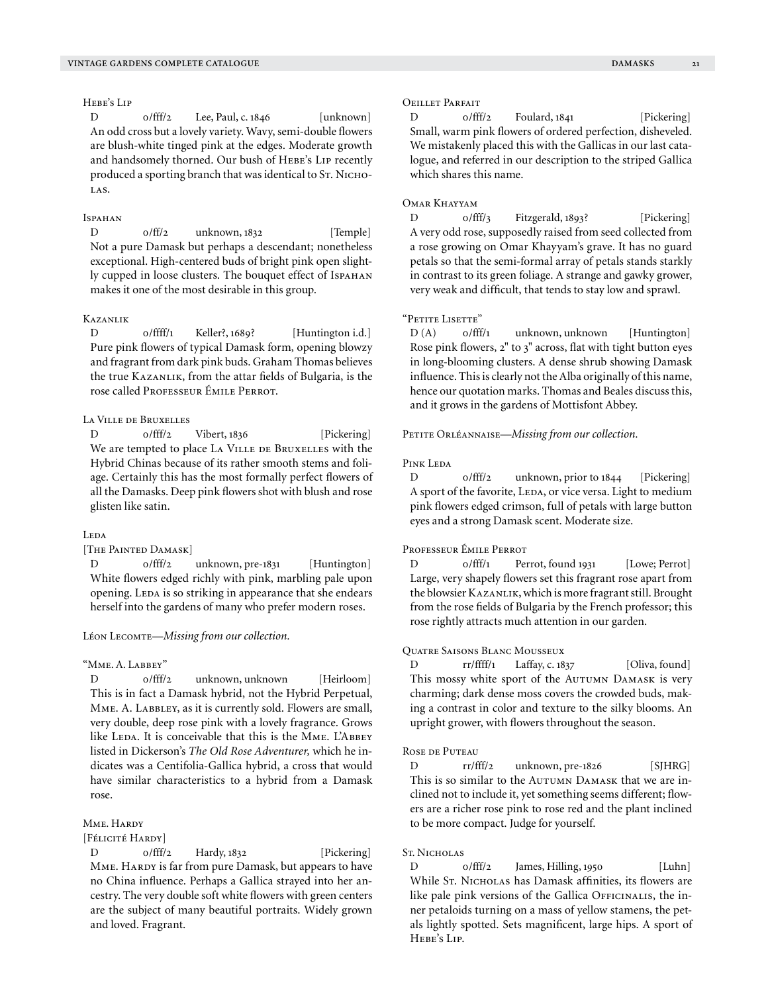# Hebe's Lip

D  $0/fft/2$  Lee, Paul, c. 1846 [unknown] An odd cross but a lovely variety. Wavy, semi-double flowers are blush-white tinged pink at the edges. Moderate growth and handsomely thorned. Our bush of HEBE's LIP recently produced a sporting branch that was identical to Sт. NICHO-LAS.

# Ispahan

D  $0/ff/2$  unknown, 1832 [Temple] Not a pure Damask but perhaps a descendant; nonetheless exceptional. High-centered buds of bright pink open slightly cupped in loose clusters. The bouquet effect of Ispahan makes it one of the most desirable in this group.

# Kazanlik

D  $0/$ ffff/1 Keller?, 1689? [Huntington i.d.] Pure pink flowers of typical Damask form, opening blowzy and fragrant from dark pink buds. Graham Thomas believes the true Kazanlik, from the attar fields of Bulgaria, is the rose called Professeur Émile Perrot.

# La Ville de Bruxelles

D 0/fff/2 Vibert, 1836 [Pickering] We are tempted to place LA VILLE DE BRUXELLES with the Hybrid Chinas because of its rather smooth stems and foliage. Certainly this has the most formally perfect flowers of all the Damasks. Deep pink flowers shot with blush and rose glisten like satin.

## Leda

[THE PAINTED DAMASK]

D 0/fff/2 unknown, pre-1831 [Huntington] White flowers edged richly with pink, marbling pale upon opening. Leda is so striking in appearance that she endears herself into the gardens of many who prefer modern roses.

#### Léon Lecomte—*Missing from our collection.*

#### "Mme. A. Labbey"

D 0/fff/2 unknown, unknown [Heirloom] This is in fact a Damask hybrid, not the Hybrid Perpetual, MME. A. LABBLEY, as it is currently sold. Flowers are small, very double, deep rose pink with a lovely fragrance. Grows like LEDA. It is conceivable that this is the MME. L'ABBEY listed in Dickerson's *The Old Rose Adventurer,* which he indicates was a Centifolia-Gallica hybrid, a cross that would have similar characteristics to a hybrid from a Damask rose.

#### Mme. Hardy

[Félicité Hardy]

D 0/fff/2 Hardy, 1832 [Pickering] MME. HARDY is far from pure Damask, but appears to have no China influence. Perhaps a Gallica strayed into her ancestry. The very double soft white flowers with green centers are the subject of many beautiful portraits. Widely grown and loved. Fragrant.

# Oeillet Parfait

D 0/fff/2 Foulard, 1841 [Pickering] Small, warm pink flowers of ordered perfection, disheveled. We mistakenly placed this with the Gallicas in our last catalogue, and referred in our description to the striped Gallica which shares this name.

# Omar Khayyam

D 0/fff/3 Fitzgerald, 1893? [Pickering] A very odd rose, supposedly raised from seed collected from a rose growing on Omar Khayyam's grave. It has no guard petals so that the semi-formal array of petals stands starkly in contrast to its green foliage. A strange and gawky grower, very weak and difficult, that tends to stay low and sprawl.

# "Petite Lisette"

D (A)  $o/fff/1$  unknown, unknown [Huntington] Rose pink flowers, 2" to 3" across, flat with tight button eyes in long-blooming clusters. A dense shrub showing Damask influence. This is clearly not the Alba originally of this name, hence our quotation marks. Thomas and Beales discuss this, and it grows in the gardens of Mottisfont Abbey.

PETITE ORLÉANNAISE—*Missing from our collection*.

# PINK LEDA

D 0/fff/2 unknown, prior to 1844 [Pickering] A sport of the favorite, LEDA, or vice versa. Light to medium pink flowers edged crimson, full of petals with large button eyes and a strong Damask scent. Moderate size.

#### Professeur Émile Perrot

D 0/fff/1 Perrot, found 1931 [Lowe; Perrot] Large, very shapely flowers set this fragrant rose apart from the blowsier KAZANLIK, which is more fragrant still. Brought from the rose fields of Bulgaria by the French professor; this rose rightly attracts much attention in our garden.

# Quatre Saisons Blanc Mousseux

D rr/ffff/1 Laffay, c. 1837 [Oliva, found] This mossy white sport of the AUTUMN DAMASK is very charming; dark dense moss covers the crowded buds, making a contrast in color and texture to the silky blooms. An upright grower, with flowers throughout the season.

## Rose de Puteau

D rr/fff/2 unknown, pre-1826 [SJHRG] This is so similar to the AUTUMN DAMASK that we are inclined not to include it, yet something seems different; flowers are a richer rose pink to rose red and the plant inclined to be more compact. Judge for yourself.

# St. Nicholas

D 0/fff/2 James, Hilling, 1950 [Luhn] While St. NICHOLAS has Damask affinities, its flowers are like pale pink versions of the Gallica OFFICINALIS, the inner petaloids turning on a mass of yellow stamens, the petals lightly spotted. Sets magnificent, large hips. A sport of Hebe's Lip.